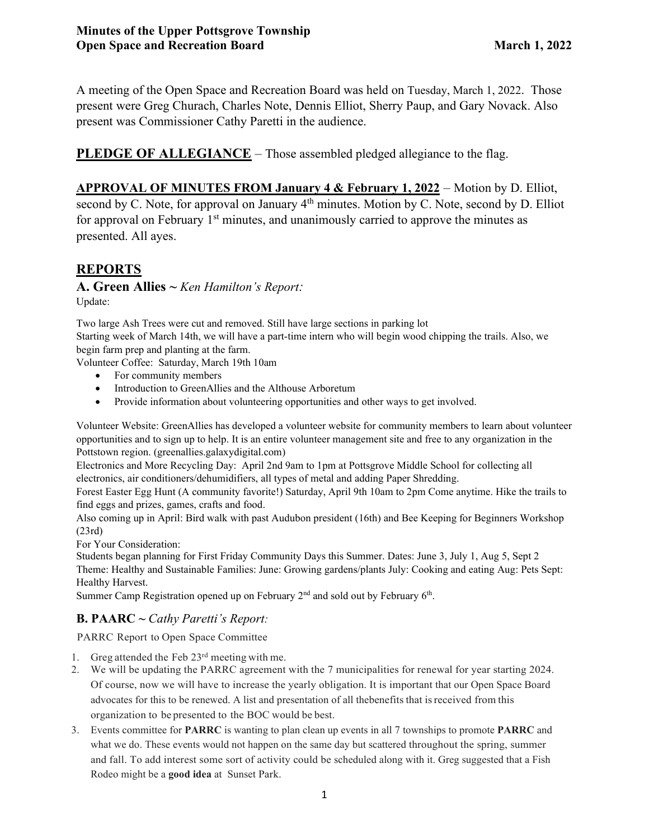A meeting of the Open Space and Recreation Board was held on Tuesday, March 1, 2022. Those present were Greg Churach, Charles Note, Dennis Elliot, Sherry Paup, and Gary Novack. Also present was Commissioner Cathy Paretti in the audience.

**PLEDGE OF ALLEGIANCE** – Those assembled pledged allegiance to the flag.

### **APPROVAL OF MINUTES FROM January 4 & February 1, 2022** – Motion by D. Elliot,

second by C. Note, for approval on January  $4<sup>th</sup>$  minutes. Motion by C. Note, second by D. Elliot for approval on February  $1<sup>st</sup>$  minutes, and unanimously carried to approve the minutes as presented. All ayes.

## **REPORTS**

# **A. Green Allies ~** *Ken Hamilton's Report:*

Update:

Two large Ash Trees were cut and removed. Still have large sections in parking lot Starting week of March 14th, we will have a part-time intern who will begin wood chipping the trails. Also, we begin farm prep and planting at the farm.

Volunteer Coffee: Saturday, March 19th 10am

- For community members
- Introduction to GreenAllies and the Althouse Arboretum
- Provide information about volunteering opportunities and other ways to get involved.

Volunteer Website: GreenAllies has developed a volunteer website for community members to learn about volunteer opportunities and to sign up to help. It is an entire volunteer management site and free to any organization in the Pottstown region. (greenallies.galaxydigital.com)

Electronics and More Recycling Day: April 2nd 9am to 1pm at Pottsgrove Middle School for collecting all electronics, air conditioners/dehumidifiers, all types of metal and adding Paper Shredding.

Forest Easter Egg Hunt (A community favorite!) Saturday, April 9th 10am to 2pm Come anytime. Hike the trails to find eggs and prizes, games, crafts and food.

Also coming up in April: Bird walk with past Audubon president (16th) and Bee Keeping for Beginners Workshop (23rd)

For Your Consideration:

Students began planning for First Friday Community Days this Summer. Dates: June 3, July 1, Aug 5, Sept 2 Theme: Healthy and Sustainable Families: June: Growing gardens/plants July: Cooking and eating Aug: Pets Sept: Healthy Harvest.

Summer Camp Registration opened up on February  $2<sup>nd</sup>$  and sold out by February  $6<sup>th</sup>$ .

## **B. PAARC ~** *Cathy Paretti's Report:*

PARRC Report to Open Space Committee

- 1. Greg attended the Feb 23rd meeting with me.
- 2. We will be updating the PARRC agreement with the 7 municipalities for renewal for year starting 2024. Of course, now we will have to increase the yearly obligation. It is important that our Open Space Board advocates for this to be renewed. A list and presentation of all thebenefits that isreceived from this organization to be presented to the BOC would be best.
- 3. Events committee for **PARRC** is wanting to plan clean up events in all 7 townships to promote **PARRC** and what we do. These events would not happen on the same day but scattered throughout the spring, summer and fall. To add interest some sort of activity could be scheduled along with it. Greg suggested that a Fish Rodeo might be a **good idea** at Sunset Park.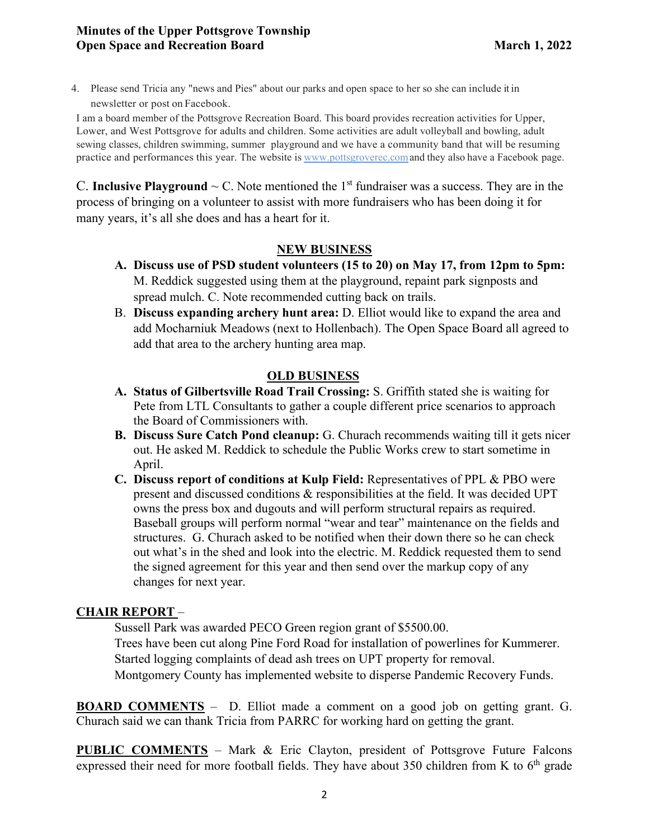4. Please send Tricia any "news and Pies" about our parks and open space to her so she can include it in newsletter or post on Facebook.

I am a board member of the Pottsgrove Recreation Board. This board provides recreation activities for Upper, Lower, and West Pottsgrove for adults and children. Some activities are adult volleyball and bowling, adult sewing classes, children swimming, summer playground and we have a community band that will be resuming practice and performances this year. The website is www.pottsgroverec.com and they also have a Facebook page.

C. **Inclusive Playground**  $\sim$  C. Note mentioned the 1<sup>st</sup> fundraiser was a success. They are in the process of bringing on a volunteer to assist with more fundraisers who has been doing it for many years, it's all she does and has a heart for it.

### **NEW BUSINESS**

- **A. Discuss use of PSD student volunteers (15 to 20) on May 17, from 12pm to 5pm:**  M. Reddick suggested using them at the playground, repaint park signposts and spread mulch. C. Note recommended cutting back on trails.
- B. **Discuss expanding archery hunt area:** D. Elliot would like to expand the area and add Mocharniuk Meadows (next to Hollenbach). The Open Space Board all agreed to add that area to the archery hunting area map.

### **OLD BUSINESS**

- **A. Status of Gilbertsville Road Trail Crossing:** S. Griffith stated she is waiting for Pete from LTL Consultants to gather a couple different price scenarios to approach the Board of Commissioners with.
- **B. Discuss Sure Catch Pond cleanup:** G. Churach recommends waiting till it gets nicer out. He asked M. Reddick to schedule the Public Works crew to start sometime in April.
- **C. Discuss report of conditions at Kulp Field:** Representatives of PPL & PBO were present and discussed conditions & responsibilities at the field. It was decided UPT owns the press box and dugouts and will perform structural repairs as required. Baseball groups will perform normal "wear and tear" maintenance on the fields and structures. G. Churach asked to be notified when their down there so he can check out what's in the shed and look into the electric. M. Reddick requested them to send the signed agreement for this year and then send over the markup copy of any changes for next year.

### **CHAIR REPORT** –

 Sussell Park was awarded PECO Green region grant of \$5500.00. Trees have been cut along Pine Ford Road for installation of powerlines for Kummerer. Started logging complaints of dead ash trees on UPT property for removal. Montgomery County has implemented website to disperse Pandemic Recovery Funds.

**BOARD COMMENTS** – D. Elliot made a comment on a good job on getting grant. G. Churach said we can thank Tricia from PARRC for working hard on getting the grant.

**PUBLIC COMMENTS** – Mark & Eric Clayton, president of Pottsgrove Future Falcons expressed their need for more football fields. They have about 350 children from K to  $6<sup>th</sup>$  grade